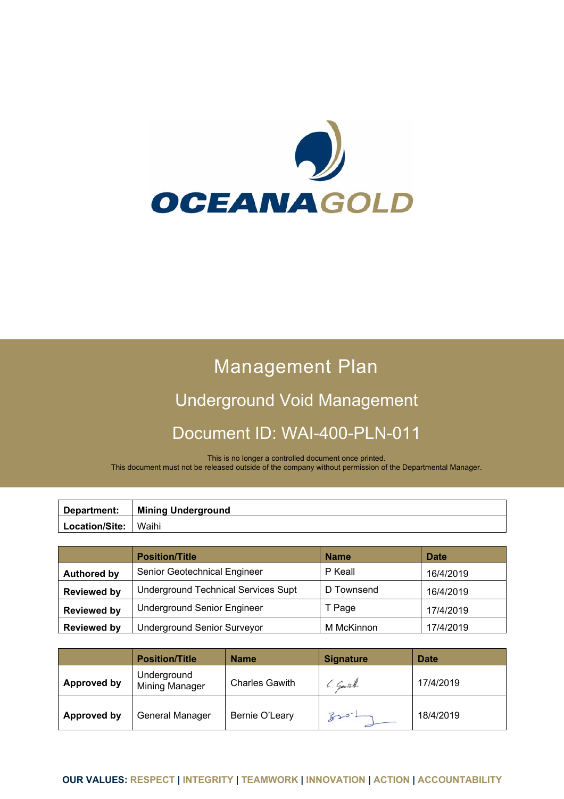

# Management Plan

# Underground Void Management Document ID: WAI-400-PLN-011

This is no longer a controlled document once printed. This document must not be released outside of the company without permission of the Departmental Manager.

| Department:    | <b>Mining Underground</b> |
|----------------|---------------------------|
| Location/Site: | Waihi                     |

|                    | <b>Position/Title</b>                      | <b>Name</b> | <b>Date</b> |
|--------------------|--------------------------------------------|-------------|-------------|
| <b>Authored by</b> | Senior Geotechnical Engineer               | P Keall     | 16/4/2019   |
| <b>Reviewed by</b> | <b>Underground Technical Services Supt</b> | D Townsend  | 16/4/2019   |
| <b>Reviewed by</b> | <b>Underground Senior Engineer</b>         | T Page      | 17/4/2019   |
| <b>Reviewed by</b> | <b>Underground Senior Surveyor</b>         | M McKinnon  | 17/4/2019   |

|             | <b>Position/Title</b>         | <b>Name</b>           | <b>Signature</b> | <b>Date</b> |
|-------------|-------------------------------|-----------------------|------------------|-------------|
| Approved by | Underground<br>Mining Manager | <b>Charles Gawith</b> | C. Garth         | 17/4/2019   |
| Approved by | General Manager               | Bernie O'Leary        | $Br3-L$          | 18/4/2019   |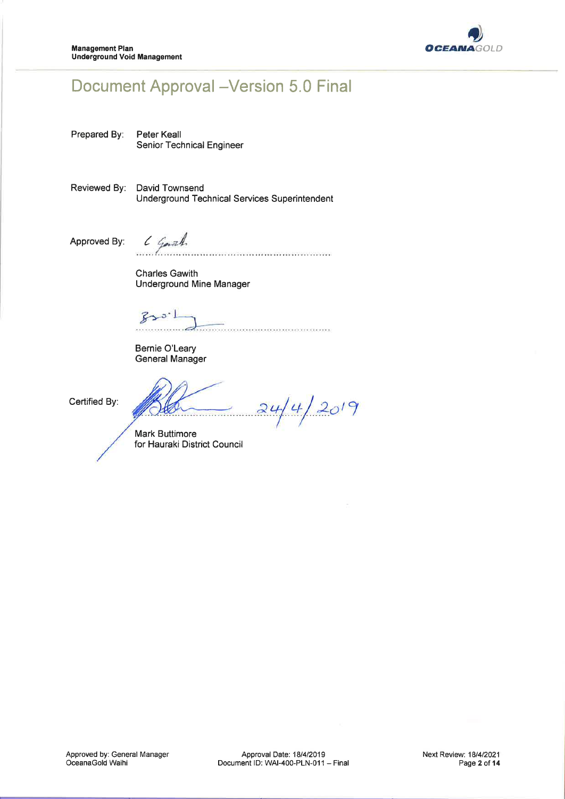

# **Document Approval - Version 5.0 Final**

Prepared By: Peter Keall Senior Technical Engineer

Reviewed By: David Townsend **Underground Technical Services Superintendent** 

Approved By:

6 Garah 

**Charles Gawith Underground Mine Manager** 

 $300.1$ 

Bernie O'Leary **General Manager** 

Certified By:

 $24/4/2019$ . . . . . . . . . . . . . . .

**Mark Buttimore** for Hauraki District Council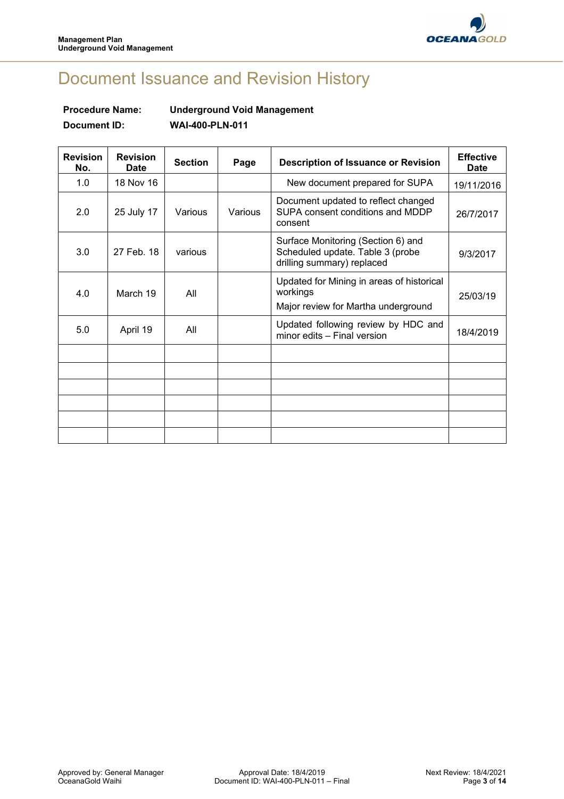

# Document Issuance and Revision History

# **Procedure Name: Underground Void Management Document ID: WAI-400-PLN-011**

| <b>Revision</b><br>No. | <b>Revision</b><br><b>Date</b> | <b>Section</b> | Page    | <b>Description of Issuance or Revision</b>                                                           | <b>Effective</b><br>Date |
|------------------------|--------------------------------|----------------|---------|------------------------------------------------------------------------------------------------------|--------------------------|
| 1.0                    | 18 Nov 16                      |                |         | New document prepared for SUPA                                                                       | 19/11/2016               |
| 2.0                    | 25 July 17                     | Various        | Various | Document updated to reflect changed<br>SUPA consent conditions and MDDP<br>consent                   | 26/7/2017                |
| 3.0                    | 27 Feb. 18                     | various        |         | Surface Monitoring (Section 6) and<br>Scheduled update. Table 3 (probe<br>drilling summary) replaced | 9/3/2017                 |
| 4.0                    | March 19                       | All            |         | Updated for Mining in areas of historical<br>workings<br>Major review for Martha underground         | 25/03/19                 |
| 5.0                    | April 19                       | All            |         | Updated following review by HDC and<br>minor edits - Final version                                   | 18/4/2019                |
|                        |                                |                |         |                                                                                                      |                          |
|                        |                                |                |         |                                                                                                      |                          |
|                        |                                |                |         |                                                                                                      |                          |
|                        |                                |                |         |                                                                                                      |                          |
|                        |                                |                |         |                                                                                                      |                          |
|                        |                                |                |         |                                                                                                      |                          |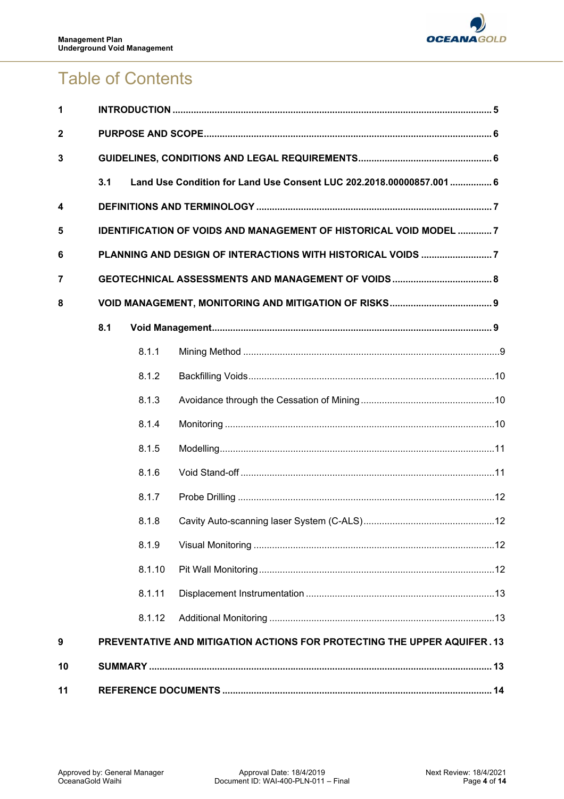

# Table of Contents

| 1                       |     |                                                                          |                                                                      |  |  |  |
|-------------------------|-----|--------------------------------------------------------------------------|----------------------------------------------------------------------|--|--|--|
| $\mathbf{2}$            |     |                                                                          |                                                                      |  |  |  |
| 3                       |     |                                                                          |                                                                      |  |  |  |
|                         | 3.1 |                                                                          | Land Use Condition for Land Use Consent LUC 202.2018.00000857.001  6 |  |  |  |
| $\overline{\mathbf{4}}$ |     |                                                                          |                                                                      |  |  |  |
| 5                       |     | <b>IDENTIFICATION OF VOIDS AND MANAGEMENT OF HISTORICAL VOID MODEL 7</b> |                                                                      |  |  |  |
| 6                       |     | PLANNING AND DESIGN OF INTERACTIONS WITH HISTORICAL VOIDS 7              |                                                                      |  |  |  |
| 7                       |     |                                                                          |                                                                      |  |  |  |
| 8                       |     |                                                                          |                                                                      |  |  |  |
|                         | 8.1 |                                                                          |                                                                      |  |  |  |
|                         |     | 8.1.1                                                                    |                                                                      |  |  |  |
|                         |     | 8.1.2                                                                    |                                                                      |  |  |  |
|                         |     | 8.1.3                                                                    |                                                                      |  |  |  |
|                         |     | 8.1.4                                                                    |                                                                      |  |  |  |
|                         |     | 8.1.5                                                                    |                                                                      |  |  |  |
|                         |     | 8.1.6                                                                    |                                                                      |  |  |  |
|                         |     | 8.1.7                                                                    |                                                                      |  |  |  |
|                         |     | 8.1.8                                                                    |                                                                      |  |  |  |
|                         |     | 8.1.9                                                                    |                                                                      |  |  |  |
|                         |     | 8.1.10                                                                   |                                                                      |  |  |  |
|                         |     | 8.1.11                                                                   |                                                                      |  |  |  |
|                         |     | 8.1.12                                                                   |                                                                      |  |  |  |
| 9                       |     | PREVENTATIVE AND MITIGATION ACTIONS FOR PROTECTING THE UPPER AQUIFER. 13 |                                                                      |  |  |  |
| 10                      |     |                                                                          |                                                                      |  |  |  |
| 11                      |     |                                                                          |                                                                      |  |  |  |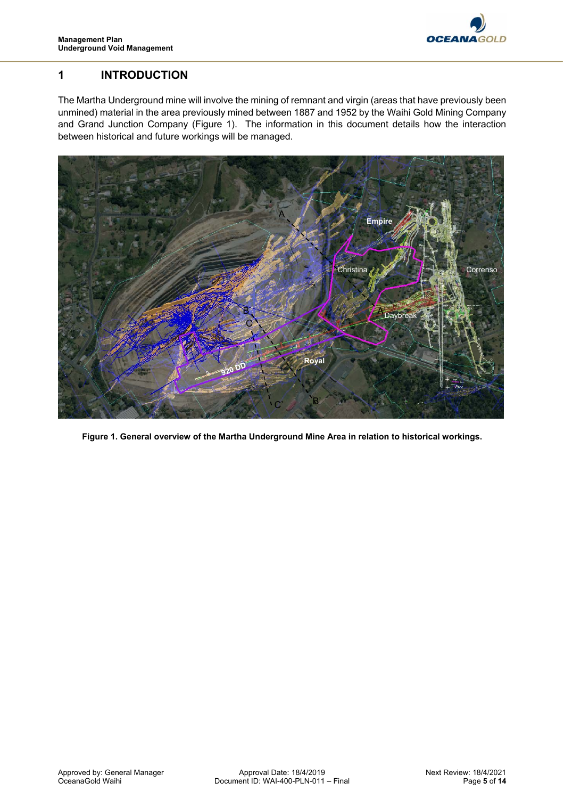

# **1 INTRODUCTION**

The Martha Underground mine will involve the mining of remnant and virgin (areas that have previously been unmined) material in the area previously mined between 1887 and 1952 by the Waihi Gold Mining Company and Grand Junction Company (Figure 1). The information in this document details how the interaction between historical and future workings will be managed.



**Figure 1. General overview of the Martha Underground Mine Area in relation to historical workings.**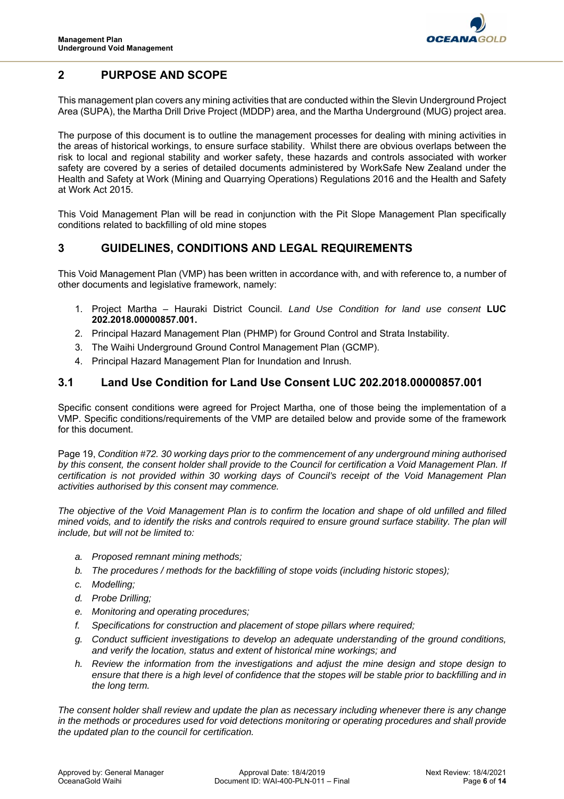

# **2 PURPOSE AND SCOPE**

This management plan covers any mining activities that are conducted within the Slevin Underground Project Area (SUPA), the Martha Drill Drive Project (MDDP) area, and the Martha Underground (MUG) project area.

The purpose of this document is to outline the management processes for dealing with mining activities in the areas of historical workings, to ensure surface stability. Whilst there are obvious overlaps between the risk to local and regional stability and worker safety, these hazards and controls associated with worker safety are covered by a series of detailed documents administered by WorkSafe New Zealand under the Health and Safety at Work (Mining and Quarrying Operations) Regulations 2016 and the Health and Safety at Work Act 2015.

This Void Management Plan will be read in conjunction with the Pit Slope Management Plan specifically conditions related to backfilling of old mine stopes

# **3 GUIDELINES, CONDITIONS AND LEGAL REQUIREMENTS**

This Void Management Plan (VMP) has been written in accordance with, and with reference to, a number of other documents and legislative framework, namely:

- 1. Project Martha Hauraki District Council. *Land Use Condition for land use consent* **LUC 202.2018.00000857.001.**
- 2. Principal Hazard Management Plan (PHMP) for Ground Control and Strata Instability.
- 3. The Waihi Underground Ground Control Management Plan (GCMP).
- 4. Principal Hazard Management Plan for Inundation and Inrush.

#### **3.1 Land Use Condition for Land Use Consent LUC 202.2018.00000857.001**

Specific consent conditions were agreed for Project Martha, one of those being the implementation of a VMP. Specific conditions/requirements of the VMP are detailed below and provide some of the framework for this document.

Page 19, *Condition #72. 30 working days prior to the commencement of any underground mining authorised*  by this consent, the consent holder shall provide to the Council for certification a Void Management Plan. If *certification is not provided within 30 working days of Council's receipt of the Void Management Plan activities authorised by this consent may commence.* 

*The objective of the Void Management Plan is to confirm the location and shape of old unfilled and filled mined voids, and to identify the risks and controls required to ensure ground surface stability. The plan will include, but will not be limited to:* 

- *a. Proposed remnant mining methods;*
- *b. The procedures / methods for the backfilling of stope voids (including historic stopes);*
- *c. Modelling;*
- *d. Probe Drilling;*
- *e. Monitoring and operating procedures;*
- *f. Specifications for construction and placement of stope pillars where required;*
- *g. Conduct sufficient investigations to develop an adequate understanding of the ground conditions, and verify the location, status and extent of historical mine workings; and*
- *h. Review the information from the investigations and adjust the mine design and stope design to ensure that there is a high level of confidence that the stopes will be stable prior to backfilling and in the long term.*

*The consent holder shall review and update the plan as necessary including whenever there is any change in the methods or procedures used for void detections monitoring or operating procedures and shall provide the updated plan to the council for certification.*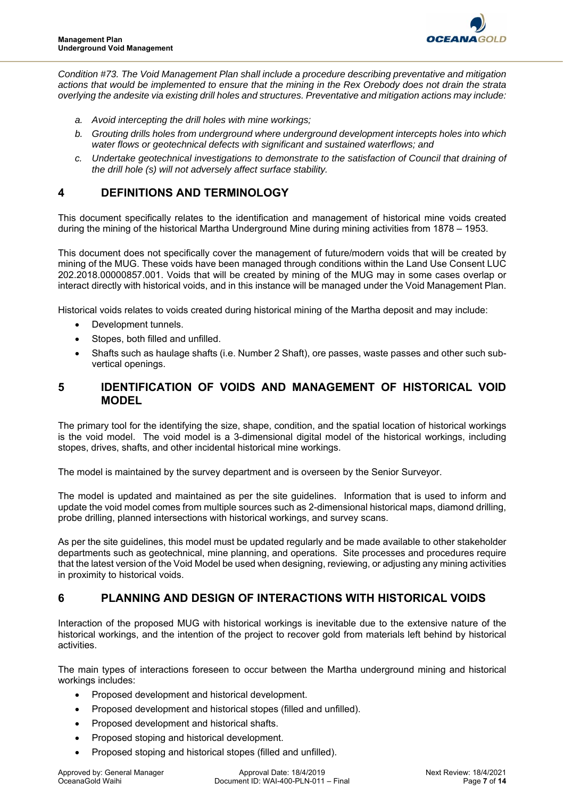

*Condition #73. The Void Management Plan shall include a procedure describing preventative and mitigation actions that would be implemented to ensure that the mining in the Rex Orebody does not drain the strata overlying the andesite via existing drill holes and structures. Preventative and mitigation actions may include:* 

- *a. Avoid intercepting the drill holes with mine workings;*
- *b. Grouting drills holes from underground where underground development intercepts holes into which water flows or geotechnical defects with significant and sustained waterflows; and*
- *c. Undertake geotechnical investigations to demonstrate to the satisfaction of Council that draining of the drill hole (s) will not adversely affect surface stability.*

# **4 DEFINITIONS AND TERMINOLOGY**

This document specifically relates to the identification and management of historical mine voids created during the mining of the historical Martha Underground Mine during mining activities from 1878 – 1953.

This document does not specifically cover the management of future/modern voids that will be created by mining of the MUG. These voids have been managed through conditions within the Land Use Consent LUC 202.2018.00000857.001. Voids that will be created by mining of the MUG may in some cases overlap or interact directly with historical voids, and in this instance will be managed under the Void Management Plan.

Historical voids relates to voids created during historical mining of the Martha deposit and may include:

- Development tunnels.
- Stopes, both filled and unfilled.
- Shafts such as haulage shafts (i.e. Number 2 Shaft), ore passes, waste passes and other such subvertical openings.

### **5 IDENTIFICATION OF VOIDS AND MANAGEMENT OF HISTORICAL VOID MODEL**

The primary tool for the identifying the size, shape, condition, and the spatial location of historical workings is the void model. The void model is a 3-dimensional digital model of the historical workings, including stopes, drives, shafts, and other incidental historical mine workings.

The model is maintained by the survey department and is overseen by the Senior Surveyor.

The model is updated and maintained as per the site guidelines. Information that is used to inform and update the void model comes from multiple sources such as 2-dimensional historical maps, diamond drilling, probe drilling, planned intersections with historical workings, and survey scans.

As per the site guidelines, this model must be updated regularly and be made available to other stakeholder departments such as geotechnical, mine planning, and operations. Site processes and procedures require that the latest version of the Void Model be used when designing, reviewing, or adjusting any mining activities in proximity to historical voids.

# **6 PLANNING AND DESIGN OF INTERACTIONS WITH HISTORICAL VOIDS**

Interaction of the proposed MUG with historical workings is inevitable due to the extensive nature of the historical workings, and the intention of the project to recover gold from materials left behind by historical activities.

The main types of interactions foreseen to occur between the Martha underground mining and historical workings includes:

- Proposed development and historical development.
- Proposed development and historical stopes (filled and unfilled).
- Proposed development and historical shafts.
- Proposed stoping and historical development.
- Proposed stoping and historical stopes (filled and unfilled).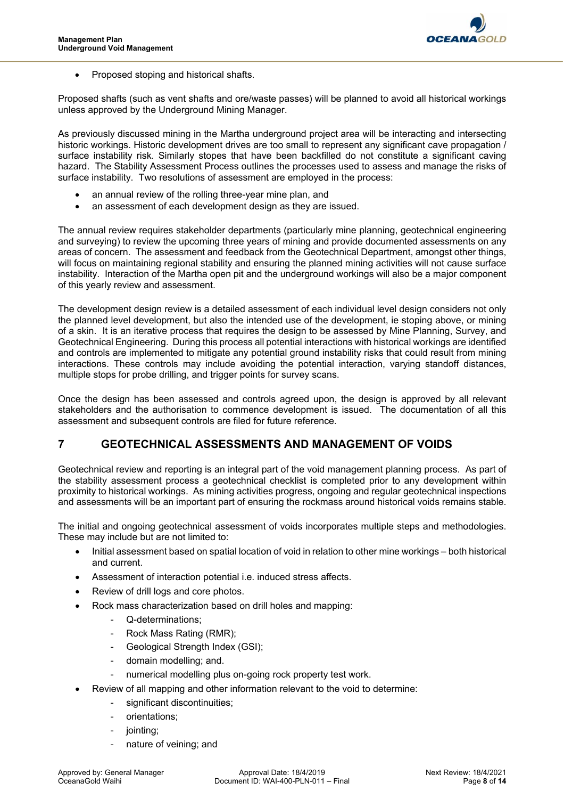

Proposed stoping and historical shafts.

Proposed shafts (such as vent shafts and ore/waste passes) will be planned to avoid all historical workings unless approved by the Underground Mining Manager.

As previously discussed mining in the Martha underground project area will be interacting and intersecting historic workings. Historic development drives are too small to represent any significant cave propagation / surface instability risk. Similarly stopes that have been backfilled do not constitute a significant caving hazard. The Stability Assessment Process outlines the processes used to assess and manage the risks of surface instability. Two resolutions of assessment are employed in the process:

- an annual review of the rolling three-year mine plan, and
- an assessment of each development design as they are issued.

The annual review requires stakeholder departments (particularly mine planning, geotechnical engineering and surveying) to review the upcoming three years of mining and provide documented assessments on any areas of concern. The assessment and feedback from the Geotechnical Department, amongst other things, will focus on maintaining regional stability and ensuring the planned mining activities will not cause surface instability. Interaction of the Martha open pit and the underground workings will also be a major component of this yearly review and assessment.

The development design review is a detailed assessment of each individual level design considers not only the planned level development, but also the intended use of the development, ie stoping above, or mining of a skin. It is an iterative process that requires the design to be assessed by Mine Planning, Survey, and Geotechnical Engineering. During this process all potential interactions with historical workings are identified and controls are implemented to mitigate any potential ground instability risks that could result from mining interactions. These controls may include avoiding the potential interaction, varying standoff distances, multiple stops for probe drilling, and trigger points for survey scans.

Once the design has been assessed and controls agreed upon, the design is approved by all relevant stakeholders and the authorisation to commence development is issued. The documentation of all this assessment and subsequent controls are filed for future reference.

### **7 GEOTECHNICAL ASSESSMENTS AND MANAGEMENT OF VOIDS**

Geotechnical review and reporting is an integral part of the void management planning process. As part of the stability assessment process a geotechnical checklist is completed prior to any development within proximity to historical workings. As mining activities progress, ongoing and regular geotechnical inspections and assessments will be an important part of ensuring the rockmass around historical voids remains stable.

The initial and ongoing geotechnical assessment of voids incorporates multiple steps and methodologies. These may include but are not limited to:

- Initial assessment based on spatial location of void in relation to other mine workings both historical and current.
- Assessment of interaction potential i.e. induced stress affects.
- Review of drill logs and core photos.
- Rock mass characterization based on drill holes and mapping:
	- Q-determinations;
	- Rock Mass Rating (RMR);
	- Geological Strength Index (GSI);
	- domain modelling; and.
	- numerical modelling plus on-going rock property test work.
- Review of all mapping and other information relevant to the void to determine:
	- significant discontinuities:
	- orientations:
	- jointing;
	- nature of veining; and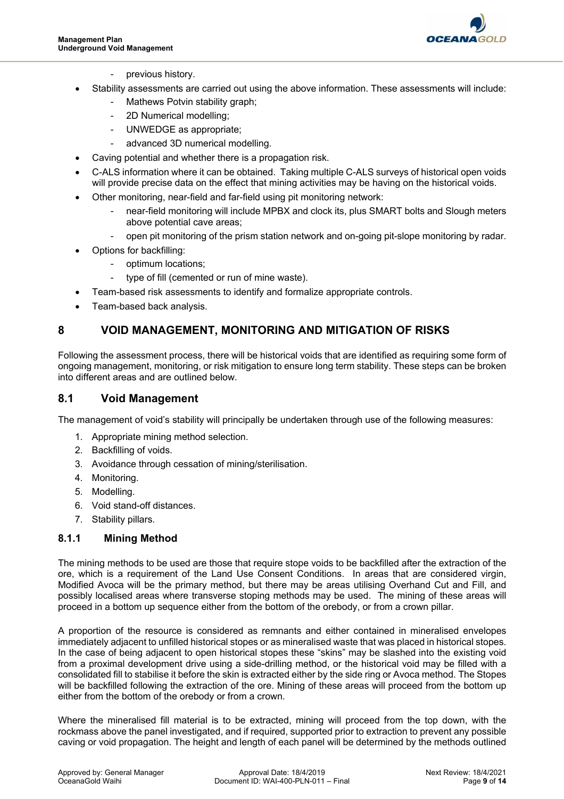

- previous history.
- Stability assessments are carried out using the above information. These assessments will include:
	- Mathews Potvin stability graph;
	- 2D Numerical modelling;
	- UNWEDGE as appropriate;
	- advanced 3D numerical modelling.
- Caving potential and whether there is a propagation risk.
- C-ALS information where it can be obtained. Taking multiple C-ALS surveys of historical open voids will provide precise data on the effect that mining activities may be having on the historical voids.
- Other monitoring, near-field and far-field using pit monitoring network:
	- near-field monitoring will include MPBX and clock its, plus SMART bolts and Slough meters above potential cave areas;
	- open pit monitoring of the prism station network and on-going pit-slope monitoring by radar.
- Options for backfilling:
	- optimum locations;
	- type of fill (cemented or run of mine waste).
- Team-based risk assessments to identify and formalize appropriate controls.
- Team-based back analysis.

# **8 VOID MANAGEMENT, MONITORING AND MITIGATION OF RISKS**

Following the assessment process, there will be historical voids that are identified as requiring some form of ongoing management, monitoring, or risk mitigation to ensure long term stability. These steps can be broken into different areas and are outlined below.

#### **8.1 Void Management**

The management of void's stability will principally be undertaken through use of the following measures:

- 1. Appropriate mining method selection.
- 2. Backfilling of voids.
- 3. Avoidance through cessation of mining/sterilisation.
- 4. Monitoring.
- 5. Modelling.
- 6. Void stand-off distances.
- 7. Stability pillars.

#### **8.1.1 Mining Method**

The mining methods to be used are those that require stope voids to be backfilled after the extraction of the ore, which is a requirement of the Land Use Consent Conditions. In areas that are considered virgin, Modified Avoca will be the primary method, but there may be areas utilising Overhand Cut and Fill, and possibly localised areas where transverse stoping methods may be used. The mining of these areas will proceed in a bottom up sequence either from the bottom of the orebody, or from a crown pillar.

A proportion of the resource is considered as remnants and either contained in mineralised envelopes immediately adjacent to unfilled historical stopes or as mineralised waste that was placed in historical stopes. In the case of being adjacent to open historical stopes these "skins" may be slashed into the existing void from a proximal development drive using a side-drilling method, or the historical void may be filled with a consolidated fill to stabilise it before the skin is extracted either by the side ring or Avoca method. The Stopes will be backfilled following the extraction of the ore. Mining of these areas will proceed from the bottom up either from the bottom of the orebody or from a crown.

Where the mineralised fill material is to be extracted, mining will proceed from the top down, with the rockmass above the panel investigated, and if required, supported prior to extraction to prevent any possible caving or void propagation. The height and length of each panel will be determined by the methods outlined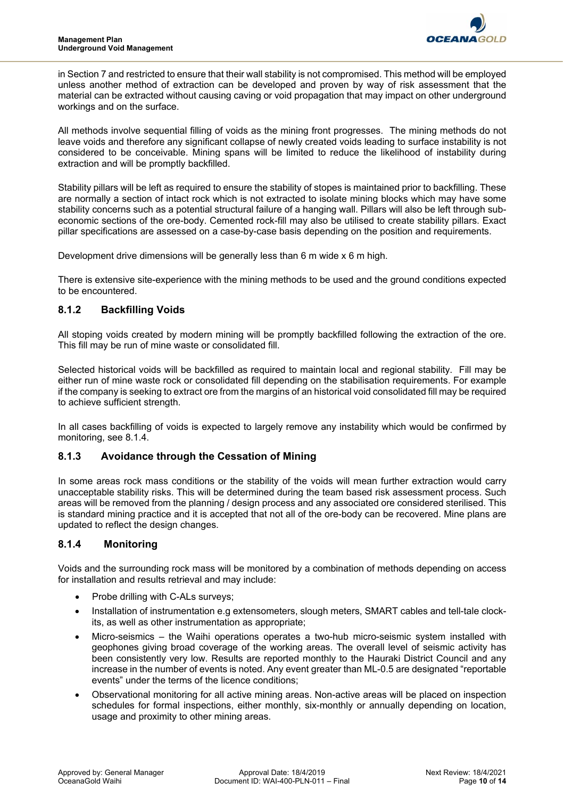

in Section 7 and restricted to ensure that their wall stability is not compromised. This method will be employed unless another method of extraction can be developed and proven by way of risk assessment that the material can be extracted without causing caving or void propagation that may impact on other underground workings and on the surface.

All methods involve sequential filling of voids as the mining front progresses. The mining methods do not leave voids and therefore any significant collapse of newly created voids leading to surface instability is not considered to be conceivable. Mining spans will be limited to reduce the likelihood of instability during extraction and will be promptly backfilled.

Stability pillars will be left as required to ensure the stability of stopes is maintained prior to backfilling. These are normally a section of intact rock which is not extracted to isolate mining blocks which may have some stability concerns such as a potential structural failure of a hanging wall. Pillars will also be left through subeconomic sections of the ore-body. Cemented rock-fill may also be utilised to create stability pillars. Exact pillar specifications are assessed on a case-by-case basis depending on the position and requirements.

Development drive dimensions will be generally less than 6 m wide x 6 m high.

There is extensive site-experience with the mining methods to be used and the ground conditions expected to be encountered.

#### **8.1.2 Backfilling Voids**

All stoping voids created by modern mining will be promptly backfilled following the extraction of the ore. This fill may be run of mine waste or consolidated fill.

Selected historical voids will be backfilled as required to maintain local and regional stability. Fill may be either run of mine waste rock or consolidated fill depending on the stabilisation requirements. For example if the company is seeking to extract ore from the margins of an historical void consolidated fill may be required to achieve sufficient strength.

In all cases backfilling of voids is expected to largely remove any instability which would be confirmed by monitoring, see 8.1.4.

#### **8.1.3 Avoidance through the Cessation of Mining**

In some areas rock mass conditions or the stability of the voids will mean further extraction would carry unacceptable stability risks. This will be determined during the team based risk assessment process. Such areas will be removed from the planning / design process and any associated ore considered sterilised. This is standard mining practice and it is accepted that not all of the ore-body can be recovered. Mine plans are updated to reflect the design changes.

#### **8.1.4 Monitoring**

Voids and the surrounding rock mass will be monitored by a combination of methods depending on access for installation and results retrieval and may include:

- Probe drilling with C-ALs surveys;
- Installation of instrumentation e.g extensometers, slough meters, SMART cables and tell-tale clockits, as well as other instrumentation as appropriate;
- Micro-seismics the Waihi operations operates a two-hub micro-seismic system installed with geophones giving broad coverage of the working areas. The overall level of seismic activity has been consistently very low. Results are reported monthly to the Hauraki District Council and any increase in the number of events is noted. Any event greater than ML-0.5 are designated "reportable events" under the terms of the licence conditions;
- Observational monitoring for all active mining areas. Non-active areas will be placed on inspection schedules for formal inspections, either monthly, six-monthly or annually depending on location, usage and proximity to other mining areas.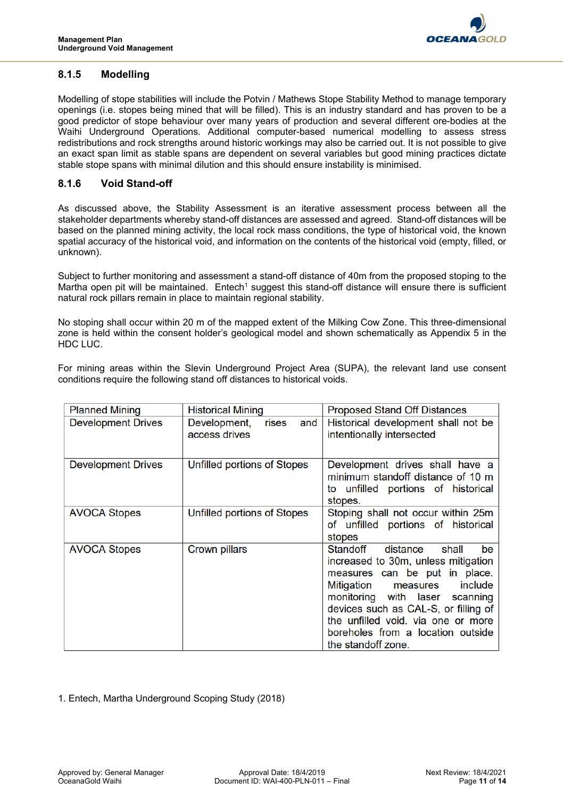

#### **8.1.5 Modelling**

Modelling of stope stabilities will include the Potvin / Mathews Stope Stability Method to manage temporary openings (i.e. stopes being mined that will be filled). This is an industry standard and has proven to be a good predictor of stope behaviour over many years of production and several different ore-bodies at the Waihi Underground Operations. Additional computer-based numerical modelling to assess stress redistributions and rock strengths around historic workings may also be carried out. It is not possible to give an exact span limit as stable spans are dependent on several variables but good mining practices dictate stable stope spans with minimal dilution and this should ensure instability is minimised.

#### **8.1.6 Void Stand-off**

As discussed above, the Stability Assessment is an iterative assessment process between all the stakeholder departments whereby stand-off distances are assessed and agreed. Stand-off distances will be based on the planned mining activity, the local rock mass conditions, the type of historical void, the known spatial accuracy of the historical void, and information on the contents of the historical void (empty, filled, or unknown).

Subject to further monitoring and assessment a stand-off distance of 40m from the proposed stoping to the Martha open pit will be maintained. Entech<sup>1</sup> suggest this stand-off distance will ensure there is sufficient natural rock pillars remain in place to maintain regional stability.

No stoping shall occur within 20 m of the mapped extent of the Milking Cow Zone. This three-dimensional zone is held within the consent holder's geological model and shown schematically as Appendix 5 in the HDC LUC.

For mining areas within the Slevin Underground Project Area (SUPA), the relevant land use consent conditions require the following stand off distances to historical voids.

| <b>Planned Mining</b>     | <b>Historical Mining</b>                      | <b>Proposed Stand Off Distances</b>                                                                                                                                                                                                                                                                                      |
|---------------------------|-----------------------------------------------|--------------------------------------------------------------------------------------------------------------------------------------------------------------------------------------------------------------------------------------------------------------------------------------------------------------------------|
| <b>Development Drives</b> | Development,<br>and<br>rises<br>access drives | Historical development shall not be<br>intentionally intersected                                                                                                                                                                                                                                                         |
| <b>Development Drives</b> | Unfilled portions of Stopes                   | Development drives shall have a<br>minimum standoff distance of 10 m<br>to unfilled portions of historical<br>stopes.                                                                                                                                                                                                    |
| <b>AVOCA Stopes</b>       | Unfilled portions of Stopes                   | Stoping shall not occur within 25m<br>of unfilled portions of historical<br>stopes                                                                                                                                                                                                                                       |
| <b>AVOCA Stopes</b>       | Crown pillars                                 | shall<br>Standoff<br>distance<br>be<br>increased to 30m, unless mitigation<br>measures can be put in place.<br>Mitigation measures<br>include<br>monitoring with laser scanning<br>devices such as CAL-S, or filling of<br>the unfilled void. via one or more<br>boreholes from a location outside<br>the standoff zone. |

1. Entech, Martha Underground Scoping Study (2018)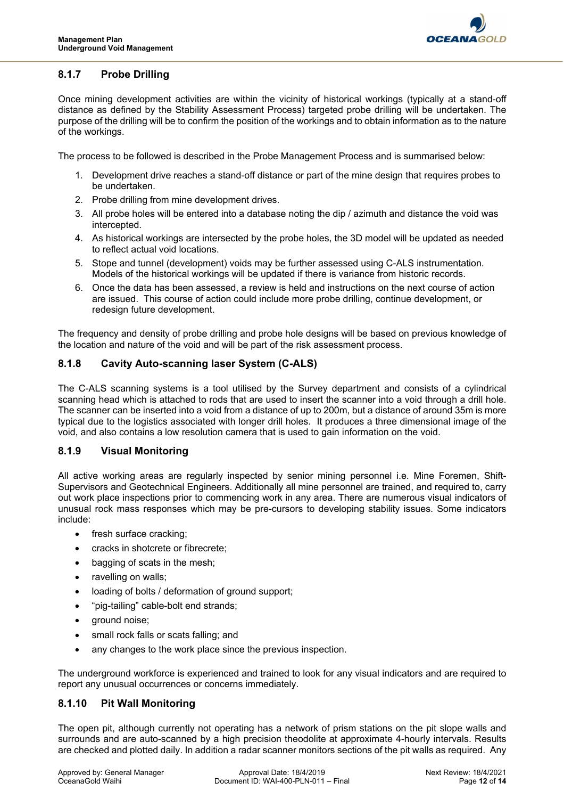

## **8.1.7 Probe Drilling**

Once mining development activities are within the vicinity of historical workings (typically at a stand-off distance as defined by the Stability Assessment Process) targeted probe drilling will be undertaken. The purpose of the drilling will be to confirm the position of the workings and to obtain information as to the nature of the workings.

The process to be followed is described in the Probe Management Process and is summarised below:

- 1. Development drive reaches a stand-off distance or part of the mine design that requires probes to be undertaken.
- 2. Probe drilling from mine development drives.
- 3. All probe holes will be entered into a database noting the dip / azimuth and distance the void was intercepted.
- 4. As historical workings are intersected by the probe holes, the 3D model will be updated as needed to reflect actual void locations.
- 5. Stope and tunnel (development) voids may be further assessed using C-ALS instrumentation. Models of the historical workings will be updated if there is variance from historic records.
- 6. Once the data has been assessed, a review is held and instructions on the next course of action are issued. This course of action could include more probe drilling, continue development, or redesign future development.

The frequency and density of probe drilling and probe hole designs will be based on previous knowledge of the location and nature of the void and will be part of the risk assessment process.

#### **8.1.8 Cavity Auto-scanning laser System (C-ALS)**

The C-ALS scanning systems is a tool utilised by the Survey department and consists of a cylindrical scanning head which is attached to rods that are used to insert the scanner into a void through a drill hole. The scanner can be inserted into a void from a distance of up to 200m, but a distance of around 35m is more typical due to the logistics associated with longer drill holes. It produces a three dimensional image of the void, and also contains a low resolution camera that is used to gain information on the void.

#### **8.1.9 Visual Monitoring**

All active working areas are regularly inspected by senior mining personnel i.e. Mine Foremen, Shift-Supervisors and Geotechnical Engineers. Additionally all mine personnel are trained, and required to, carry out work place inspections prior to commencing work in any area. There are numerous visual indicators of unusual rock mass responses which may be pre-cursors to developing stability issues. Some indicators include:

- fresh surface cracking;
- cracks in shotcrete or fibrecrete;
- bagging of scats in the mesh;
- ravelling on walls;
- loading of bolts / deformation of ground support;
- "pig-tailing" cable-bolt end strands;
- ground noise;
- small rock falls or scats falling; and
- any changes to the work place since the previous inspection.

The underground workforce is experienced and trained to look for any visual indicators and are required to report any unusual occurrences or concerns immediately.

#### **8.1.10 Pit Wall Monitoring**

The open pit, although currently not operating has a network of prism stations on the pit slope walls and surrounds and are auto-scanned by a high precision theodolite at approximate 4-hourly intervals. Results are checked and plotted daily. In addition a radar scanner monitors sections of the pit walls as required. Any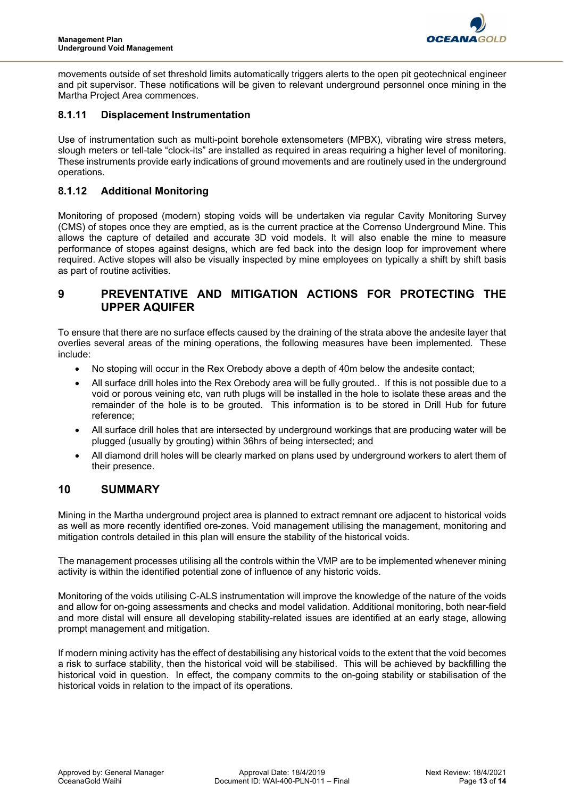

movements outside of set threshold limits automatically triggers alerts to the open pit geotechnical engineer and pit supervisor. These notifications will be given to relevant underground personnel once mining in the Martha Project Area commences.

#### **8.1.11 Displacement Instrumentation**

Use of instrumentation such as multi-point borehole extensometers (MPBX), vibrating wire stress meters, slough meters or tell-tale "clock-its" are installed as required in areas requiring a higher level of monitoring. These instruments provide early indications of ground movements and are routinely used in the underground operations.

#### **8.1.12 Additional Monitoring**

Monitoring of proposed (modern) stoping voids will be undertaken via regular Cavity Monitoring Survey (CMS) of stopes once they are emptied, as is the current practice at the Correnso Underground Mine. This allows the capture of detailed and accurate 3D void models. It will also enable the mine to measure performance of stopes against designs, which are fed back into the design loop for improvement where required. Active stopes will also be visually inspected by mine employees on typically a shift by shift basis as part of routine activities.

# **9 PREVENTATIVE AND MITIGATION ACTIONS FOR PROTECTING THE UPPER AQUIFER**

To ensure that there are no surface effects caused by the draining of the strata above the andesite layer that overlies several areas of the mining operations, the following measures have been implemented. These include:

- No stoping will occur in the Rex Orebody above a depth of 40m below the andesite contact;
- All surface drill holes into the Rex Orebody area will be fully grouted.. If this is not possible due to a void or porous veining etc, van ruth plugs will be installed in the hole to isolate these areas and the remainder of the hole is to be grouted. This information is to be stored in Drill Hub for future reference;
- All surface drill holes that are intersected by underground workings that are producing water will be plugged (usually by grouting) within 36hrs of being intersected; and
- All diamond drill holes will be clearly marked on plans used by underground workers to alert them of their presence.

# **10 SUMMARY**

Mining in the Martha underground project area is planned to extract remnant ore adjacent to historical voids as well as more recently identified ore-zones. Void management utilising the management, monitoring and mitigation controls detailed in this plan will ensure the stability of the historical voids.

The management processes utilising all the controls within the VMP are to be implemented whenever mining activity is within the identified potential zone of influence of any historic voids.

Monitoring of the voids utilising C-ALS instrumentation will improve the knowledge of the nature of the voids and allow for on-going assessments and checks and model validation. Additional monitoring, both near-field and more distal will ensure all developing stability-related issues are identified at an early stage, allowing prompt management and mitigation.

If modern mining activity has the effect of destabilising any historical voids to the extent that the void becomes a risk to surface stability, then the historical void will be stabilised. This will be achieved by backfilling the historical void in question. In effect, the company commits to the on-going stability or stabilisation of the historical voids in relation to the impact of its operations.